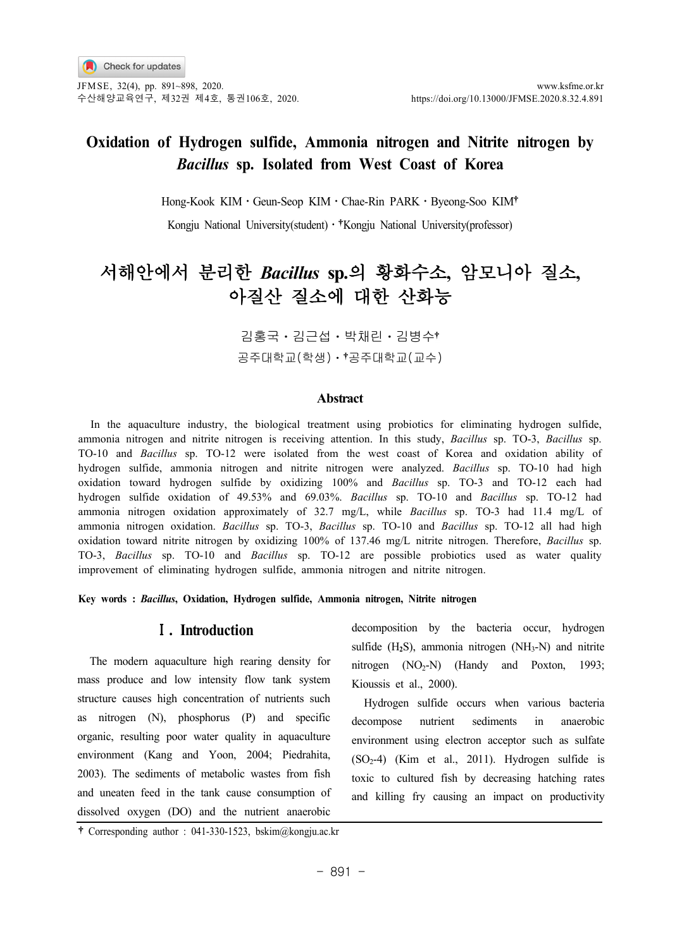JFMSE, 32(4), pp. 891~898, 2020. www.ksfme.or.kr 수산해양교육연구, 제32권 제4호, 통권106호, 2020. https://doi.org/10.13000/JFMSE.2020.8.32.4.891

## **Oxidation of Hydrogen sulfide, Ammonia nitrogen and Nitrite nitrogen by** *Bacillus* **sp. Isolated from West Coast of Korea**

Hong-Kook KIMㆍGeun-Seop KIMㆍChae-Rin PARKㆍByeong-Soo KIM

Kongju National University(student) · <sup>†</sup> Kongju National University(professor)

# 서해안에서 분리한 *Bacillus* **sp.**의 황화수소**,** 암모니아 질소**,** 아질산 질소에 대한 산화능

김홍국ㆍ김근섭ㆍ박채린ㆍ김병수 공주대학교(학생)ㆍ 공주대학교(교수)

### **Abstract**

In the aquaculture industry, the biological treatment using probiotics for eliminating hydrogen sulfide, ammonia nitrogen and nitrite nitrogen is receiving attention. In this study, *Bacillus* sp. TO-3, *Bacillus* sp. TO-10 and *Bacillus* sp. TO-12 were isolated from the west coast of Korea and oxidation ability of hydrogen sulfide, ammonia nitrogen and nitrite nitrogen were analyzed. *Bacillus* sp. TO-10 had high oxidation toward hydrogen sulfide by oxidizing 100% and *Bacillus* sp. TO-3 and TO-12 each had hydrogen sulfide oxidation of 49.53% and 69.03%. *Bacillus* sp. TO-10 and *Bacillus* sp. TO-12 had ammonia nitrogen oxidation approximately of 32.7 mg/L, while *Bacillus* sp. TO-3 had 11.4 mg/L of ammonia nitrogen oxidation. *Bacillus* sp. TO-3, *Bacillus* sp. TO-10 and *Bacillus* sp. TO-12 all had high oxidation toward nitrite nitrogen by oxidizing 100% of 137.46 mg/L nitrite nitrogen. Therefore, *Bacillus* sp. TO-3, *Bacillus* sp. TO-10 and *Bacillus* sp. TO-12 are possible probiotics used as water quality improvement of eliminating hydrogen sulfide, ammonia nitrogen and nitrite nitrogen.

**Key words :** *Bacillus***, Oxidation, Hydrogen sulfide, Ammonia nitrogen, Nitrite nitrogen**

### Ⅰ**. Introduction**

The modern aquaculture high rearing density for mass produce and low intensity flow tank system structure causes high concentration of nutrients such as nitrogen (N), phosphorus (P) and specific organic, resulting poor water quality in aquaculture environment (Kang and Yoon, 2004; Piedrahita, 2003). The sediments of metabolic wastes from fish and uneaten feed in the tank cause consumption of dissolved oxygen (DO) and the nutrient anaerobic

decomposition by the bacteria occur, hydrogen sulfide  $(H_2S)$ , ammonia nitrogen  $(NH_3-N)$  and nitrite nitrogen  $(NO<sub>2</sub>-N)$  (Handy and Poxton, 1993; Kioussis et al., 2000).

Hydrogen sulfide occurs when various bacteria decompose nutrient sediments in anaerobic environment using electron acceptor such as sulfate  $(SO<sub>2</sub>-4)$  (Kim et al., 2011). Hydrogen sulfide is toxic to cultured fish by decreasing hatching rates and killing fry causing an impact on productivity

Corresponding author : 041-330-1523, bskim@kongju.ac.kr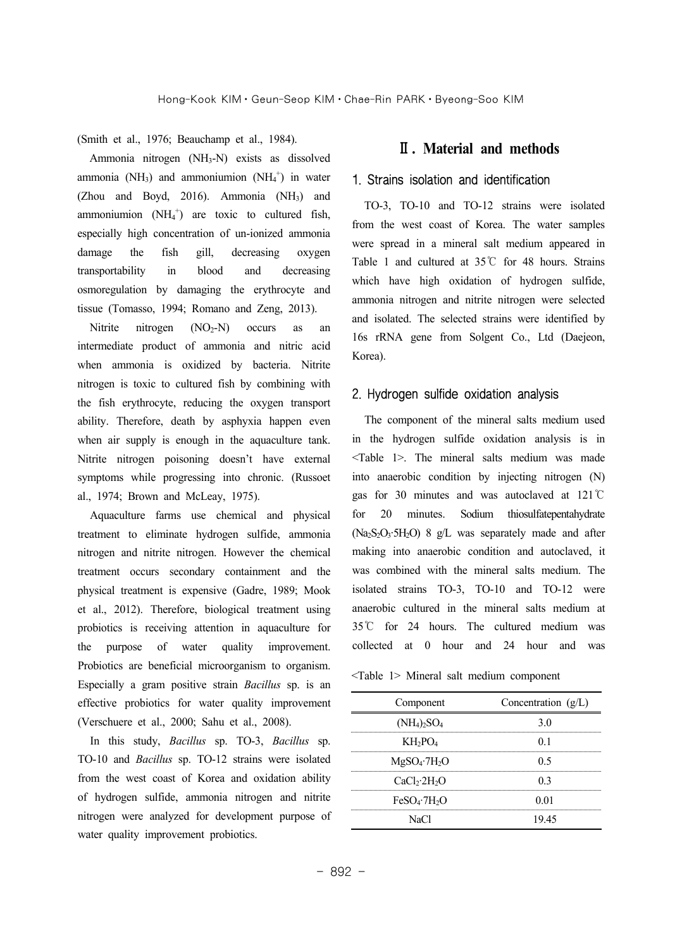(Smith et al., 1976; Beauchamp et al., 1984).

Ammonia nitrogen (NH3-N) exists as dissolved ammonia (NH<sub>3</sub>) and ammoniumion (NH<sub>4</sub><sup>+</sup>) in water (Zhou and Boyd, 2016). Ammonia (NH3) and ammoniumion  $(NH_4^+)$  are toxic to cultured fish, especially high concentration of un-ionized ammonia damage the fish gill, decreasing oxygen transportability in blood and decreasing osmoregulation by damaging the erythrocyte and tissue (Tomasso, 1994; Romano and Zeng, 2013).

Nitrite nitrogen  $(NO<sub>2</sub>-N)$  occurs as an intermediate product of ammonia and nitric acid when ammonia is oxidized by bacteria. Nitrite nitrogen is toxic to cultured fish by combining with the fish erythrocyte, reducing the oxygen transport ability. Therefore, death by asphyxia happen even when air supply is enough in the aquaculture tank. Nitrite nitrogen poisoning doesn't have external symptoms while progressing into chronic. (Russoet al., 1974; Brown and McLeay, 1975).

Aquaculture farms use chemical and physical treatment to eliminate hydrogen sulfide, ammonia nitrogen and nitrite nitrogen. However the chemical treatment occurs secondary containment and the physical treatment is expensive (Gadre, 1989; Mook et al., 2012). Therefore, biological treatment using probiotics is receiving attention in aquaculture for the purpose of water quality improvement. Probiotics are beneficial microorganism to organism. Especially a gram positive strain *Bacillus* sp. is an effective probiotics for water quality improvement (Verschuere et al., 2000; Sahu et al., 2008).

In this study, *Bacillus* sp. TO-3, *Bacillus* sp. TO-10 and *Bacillus* sp. TO-12 strains were isolated from the west coast of Korea and oxidation ability of hydrogen sulfide, ammonia nitrogen and nitrite nitrogen were analyzed for development purpose of water quality improvement probiotics.

### Ⅱ**. Material and methods**

#### 1. Strains isolation and identification

TO-3, TO-10 and TO-12 strains were isolated from the west coast of Korea. The water samples were spread in a mineral salt medium appeared in Table 1 and cultured at 35℃ for 48 hours. Strains which have high oxidation of hydrogen sulfide, ammonia nitrogen and nitrite nitrogen were selected and isolated. The selected strains were identified by 16s rRNA gene from Solgent Co., Ltd (Daejeon, Korea).

#### 2. Hydrogen sulfide oxidation analysis

The component of the mineral salts medium used in the hydrogen sulfide oxidation analysis is in <Table 1>. The mineral salts medium was made into anaerobic condition by injecting nitrogen (N) gas for 30 minutes and was autoclaved at 121℃ for 20 minutes. Sodium thiosulfatepentahydrate  $(Na<sub>2</sub>S<sub>2</sub>O<sub>3</sub>·5H<sub>2</sub>O)$  8 g/L was separately made and after making into anaerobic condition and autoclaved, it was combined with the mineral salts medium. The isolated strains TO-3, TO-10 and TO-12 were anaerobic cultured in the mineral salts medium at 35℃ for 24 hours. The cultured medium was collected at 0 hour and 24 hour and was

<Table 1> Mineral salt medium component

| Component                            | Concentration $(g/L)$ |  |  |
|--------------------------------------|-----------------------|--|--|
| $(NH_4)_2SO_4$                       | 30                    |  |  |
| $KH_2PO_4$                           | 0 <sub>1</sub>        |  |  |
| $MgSO_4$ -7H <sub>2</sub> O          | 0.5                   |  |  |
| CaCl <sub>2</sub> ·2H <sub>2</sub> O | 0 <sup>3</sup>        |  |  |
| $FeSO_4$ .7H <sub>2</sub> O          | 0.01                  |  |  |
| NaCl                                 | 19 45                 |  |  |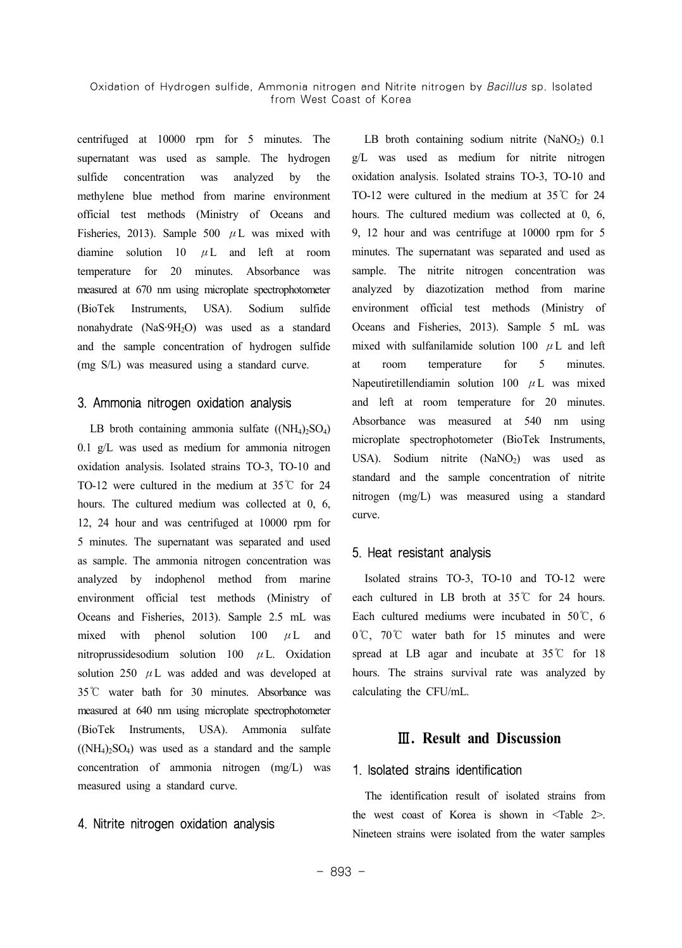centrifuged at 10000 rpm for 5 minutes. The supernatant was used as sample. The hydrogen sulfide concentration was analyzed by the methylene blue method from marine environment official test methods (Ministry of Oceans and Fisheries, 2013). Sample 500  $\mu$ L was mixed with diamine solution  $10 \mu L$  and left at room temperature for 20 minutes. Absorbance was measured at 670 nm using microplate spectrophotometer (BioTek Instruments, USA). Sodium sulfide nonahydrate (NaS·9H2O) was used as a standard and the sample concentration of hydrogen sulfide (mg S/L) was measured using a standard curve.

### 3. Ammonia nitrogen oxidation analysis

LB broth containing ammonia sulfate  $((NH_4)_2SO_4)$ 0.1 g/L was used as medium for ammonia nitrogen oxidation analysis. Isolated strains TO-3, TO-10 and TO-12 were cultured in the medium at 35℃ for 24 hours. The cultured medium was collected at 0, 6, 12, 24 hour and was centrifuged at 10000 rpm for 5 minutes. The supernatant was separated and used as sample. The ammonia nitrogen concentration was analyzed by indophenol method from marine environment official test methods (Ministry of Oceans and Fisheries, 2013). Sample 2.5 mL was mixed with phenol solution  $100 \mu L$  and nitroprussidesodium solution 100 μL. Oxidation solution 250  $\mu$  L was added and was developed at 35℃ water bath for 30 minutes. Absorbance was measured at 640 nm using microplate spectrophotometer (BioTek Instruments, USA). Ammonia sulfate  $((NH_4)_2SO_4)$  was used as a standard and the sample concentration of ammonia nitrogen (mg/L) was measured using a standard curve.

### 4. Nitrite nitrogen oxidation analysis

LB broth containing sodium nitrite  $(NaNO<sub>2</sub>)$  0.1 g/L was used as medium for nitrite nitrogen oxidation analysis. Isolated strains TO-3, TO-10 and TO-12 were cultured in the medium at 35℃ for 24 hours. The cultured medium was collected at 0, 6, 9, 12 hour and was centrifuge at 10000 rpm for 5 minutes. The supernatant was separated and used as sample. The nitrite nitrogen concentration was analyzed by diazotization method from marine environment official test methods (Ministry of Oceans and Fisheries, 2013). Sample 5 mL was mixed with sulfanilamide solution 100  $\mu$ L and left at room temperature for 5 minutes. Napeutiretillendiamin solution 100 μL was mixed and left at room temperature for 20 minutes. Absorbance was measured at 540 nm using microplate spectrophotometer (BioTek Instruments, USA). Sodium nitrite  $(NaNO<sub>2</sub>)$  was used as standard and the sample concentration of nitrite nitrogen (mg/L) was measured using a standard curve.

#### 5. Heat resistant analysis

Isolated strains TO-3, TO-10 and TO-12 were each cultured in LB broth at 35℃ for 24 hours. Each cultured mediums were incubated in 50℃, 6 0℃, 70℃ water bath for 15 minutes and were spread at LB agar and incubate at 35℃ for 18 hours. The strains survival rate was analyzed by calculating the CFU/mL.

### Ⅲ**. Result and Discussion**

### 1. Isolated strains identification

The identification result of isolated strains from the west coast of Korea is shown in <Table 2>. Nineteen strains were isolated from the water samples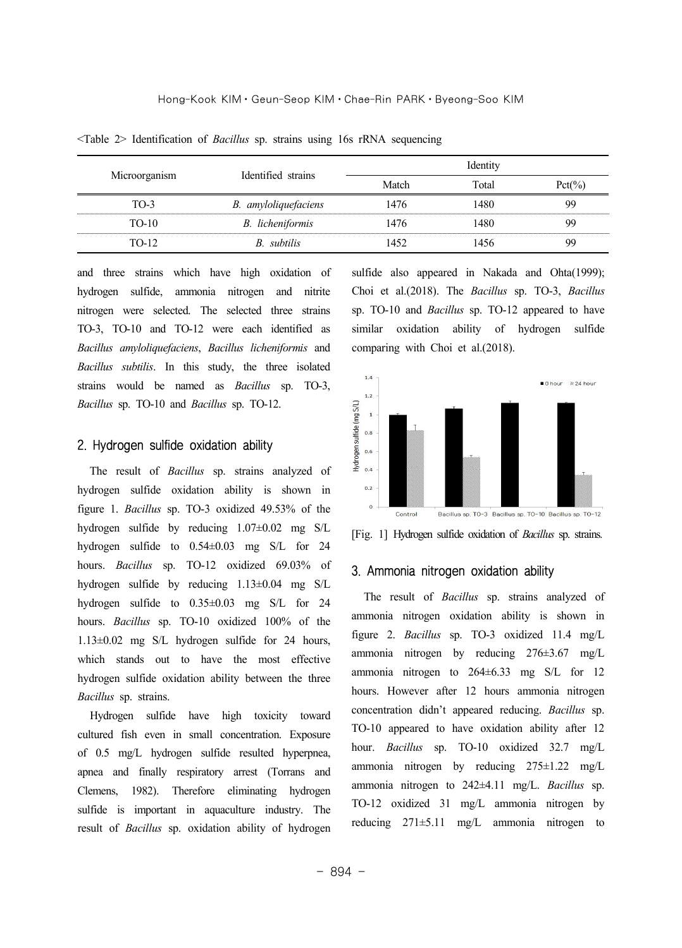| Microorganism | Identified strains      | Identity |       |      |
|---------------|-------------------------|----------|-------|------|
|               |                         | Match    | Total | ct(% |
| TO-3          | B. amyloliquefaciens    | 1476     | .480  |      |
| TO-10         | <b>B.</b> licheniformis | 1476     | 480   |      |
| TO-12         | R subtilis              |          |       |      |

<Table 2> Identification of *Bacillus* sp. strains using 16s rRNA sequencing

and three strains which have high oxidation of hydrogen sulfide, ammonia nitrogen and nitrite nitrogen were selected. The selected three strains TO-3, TO-10 and TO-12 were each identified as *Bacillus amyloliquefaciens*, *Bacillus licheniformis* and *Bacillus subtilis*. In this study, the three isolated strains would be named as *Bacillus* sp. TO-3, *Bacillus* sp. TO-10 and *Bacillus* sp. TO-12.

#### 2. Hydrogen sulfide oxidation ability

The result of *Bacillus* sp. strains analyzed of hydrogen sulfide oxidation ability is shown in figure 1. *Bacillus* sp. TO-3 oxidized 49.53% of the hydrogen sulfide by reducing 1.07±0.02 mg S/L hydrogen sulfide to 0.54±0.03 mg S/L for 24 hours. *Bacillus* sp. TO-12 oxidized 69.03% of hydrogen sulfide by reducing 1.13±0.04 mg S/L hydrogen sulfide to 0.35±0.03 mg S/L for 24 hours. *Bacillus* sp. TO-10 oxidized 100% of the 1.13±0.02 mg S/L hydrogen sulfide for 24 hours, which stands out to have the most effective hydrogen sulfide oxidation ability between the three *Bacillus* sp. strains.

Hydrogen sulfide have high toxicity toward cultured fish even in small concentration. Exposure of 0.5 mg/L hydrogen sulfide resulted hyperpnea, apnea and finally respiratory arrest (Torrans and Clemens, 1982). Therefore eliminating hydrogen sulfide is important in aquaculture industry. The result of *Bacillus* sp. oxidation ability of hydrogen

sulfide also appeared in Nakada and Ohta(1999); Choi et al.(2018). The *Bacillus* sp. TO-3, *Bacillus* sp. TO-10 and *Bacillus* sp. TO-12 appeared to have similar oxidation ability of hydrogen sulfide comparing with Choi et al.(2018).



[Fig. 1] Hydrogen sulfide oxidation of *Bacillus* sp. strains.

### 3. Ammonia nitrogen oxidation ability

The result of *Bacillus* sp. strains analyzed of ammonia nitrogen oxidation ability is shown in figure 2. *Bacillus* sp. TO-3 oxidized 11.4 mg/L ammonia nitrogen by reducing 276±3.67 mg/L ammonia nitrogen to 264±6.33 mg S/L for 12 hours. However after 12 hours ammonia nitrogen concentration didn't appeared reducing. *Bacillus* sp. TO-10 appeared to have oxidation ability after 12 hour. *Bacillus* sp. TO-10 oxidized 32.7 mg/L ammonia nitrogen by reducing 275±1.22 mg/L ammonia nitrogen to 242±4.11 mg/L. *Bacillus* sp. TO-12 oxidized 31 mg/L ammonia nitrogen by reducing 271±5.11 mg/L ammonia nitrogen to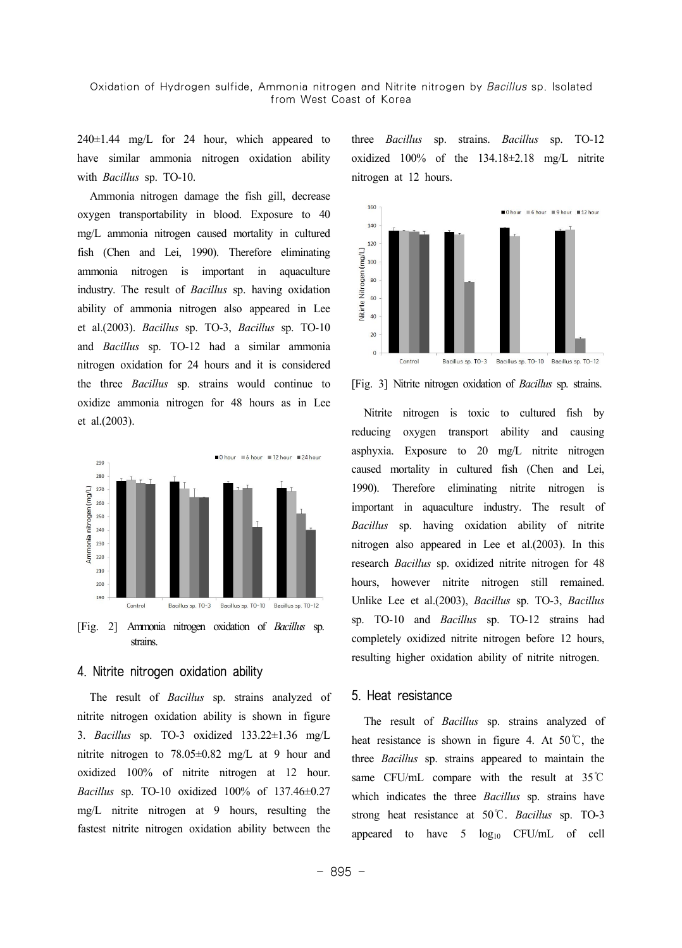#### Oxidation of Hydrogen sulfide, Ammonia nitrogen and Nitrite nitrogen by Bacillus sp. Isolated from West Coast of Korea

 $240\pm1.44$  mg/L for 24 hour, which appeared to have similar ammonia nitrogen oxidation ability with *Bacillus* sp. TO-10.

Ammonia nitrogen damage the fish gill, decrease oxygen transportability in blood. Exposure to 40 mg/L ammonia nitrogen caused mortality in cultured fish (Chen and Lei, 1990). Therefore eliminating ammonia nitrogen is important in aquaculture industry. The result of *Bacillus* sp. having oxidation ability of ammonia nitrogen also appeared in Lee et al.(2003). *Bacillus* sp. TO-3, *Bacillus* sp. TO-10 and *Bacillus* sp. TO-12 had a similar ammonia nitrogen oxidation for 24 hours and it is considered the three *Bacillus* sp. strains would continue to oxidize ammonia nitrogen for 48 hours as in Lee et al.(2003).



strains.

### 4. Nitrite nitrogen oxidation ability

The result of *Bacillus* sp. strains analyzed of nitrite nitrogen oxidation ability is shown in figure 3. *Bacillus* sp. TO-3 oxidized 133.22±1.36 mg/L nitrite nitrogen to 78.05±0.82 mg/L at 9 hour and oxidized 100% of nitrite nitrogen at 12 hour. *Bacillus* sp. TO-10 oxidized 100% of 137.46±0.27 mg/L nitrite nitrogen at 9 hours, resulting the fastest nitrite nitrogen oxidation ability between the three *Bacillus* sp. strains. *Bacillus* sp. TO-12 oxidized 100% of the 134.18±2.18 mg/L nitrite nitrogen at 12 hours.



[Fig. 3] Nitrite nitrogen oxidation of *Bacillus* sp. strains.

Nitrite nitrogen is toxic to cultured fish by reducing oxygen transport ability and causing asphyxia. Exposure to 20 mg/L nitrite nitrogen caused mortality in cultured fish (Chen and Lei, 1990). Therefore eliminating nitrite nitrogen is important in aquaculture industry. The result of *Bacillus* sp. having oxidation ability of nitrite nitrogen also appeared in Lee et al.(2003). In this research *Bacillus* sp. oxidized nitrite nitrogen for 48 hours, however nitrite nitrogen still remained. Unlike Lee et al.(2003), *Bacillus* sp. TO-3, *Bacillus* sp. TO-10 and *Bacillus* sp. TO-12 strains had completely oxidized nitrite nitrogen before 12 hours, resulting higher oxidation ability of nitrite nitrogen.

#### 5. Heat resistance

The result of *Bacillus* sp. strains analyzed of heat resistance is shown in figure 4. At  $50^{\circ}$ C, the three *Bacillus* sp. strains appeared to maintain the same CFU/mL compare with the result at 35℃ which indicates the three *Bacillus* sp. strains have strong heat resistance at 50℃. *Bacillus* sp. TO-3 appeared to have  $5 \log_{10}$  CFU/mL of cell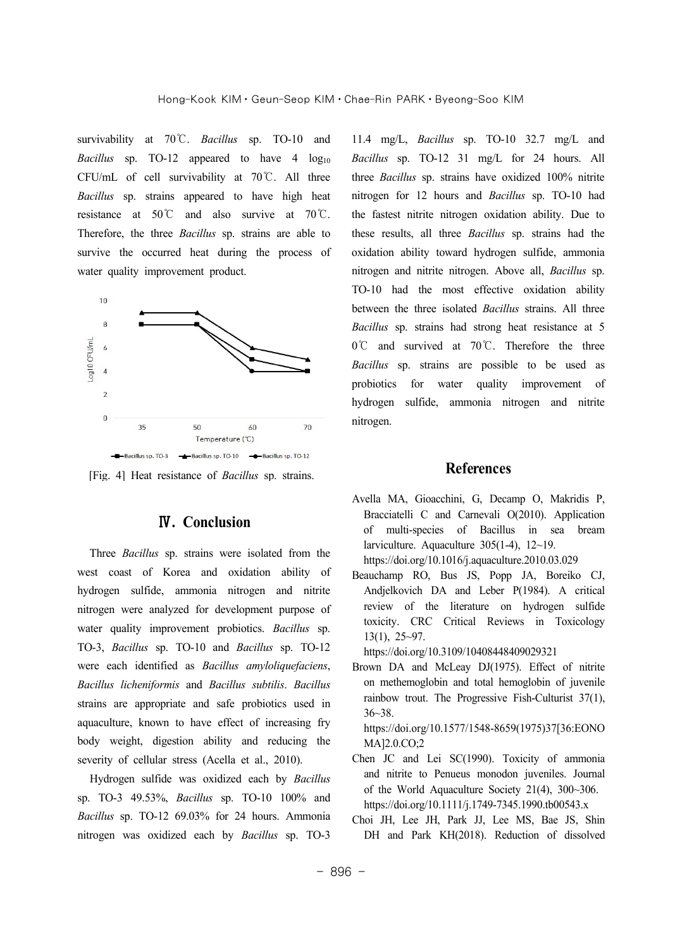survivability at 70℃. *Bacillus* sp. TO-10 and *Bacillus* sp. TO-12 appeared to have  $4 \log_{10}$ CFU/mL of cell survivability at 70℃. All three *Bacillus* sp. strains appeared to have high heat resistance at 50℃ and also survive at 70℃. Therefore, the three *Bacillus* sp. strains are able to survive the occurred heat during the process of water quality improvement product.



[Fig. 4] Heat resistance of *Bacillus* sp. strains.

### Ⅳ**. Conclusion**

Three *Bacillus* sp. strains were isolated from the west coast of Korea and oxidation ability of hydrogen sulfide, ammonia nitrogen and nitrite nitrogen were analyzed for development purpose of water quality improvement probiotics. *Bacillus* sp. TO-3, *Bacillus* sp. TO-10 and *Bacillus* sp. TO-12 were each identified as *Bacillus amyloliquefaciens*, *Bacillus licheniformis* and *Bacillus subtilis*. *Bacillus* strains are appropriate and safe probiotics used in aquaculture, known to have effect of increasing fry body weight, digestion ability and reducing the severity of cellular stress (Acella et al., 2010).

Hydrogen sulfide was oxidized each by *Bacillus* sp. TO-3 49.53%, *Bacillus* sp. TO-10 100% and *Bacillus* sp. TO-12 69.03% for 24 hours. Ammonia nitrogen was oxidized each by *Bacillus* sp. TO-3

11.4 mg/L, *Bacillus* sp. TO-10 32.7 mg/L and *Bacillus* sp. TO-12 31 mg/L for 24 hours. All three *Bacillus* sp. strains have oxidized 100% nitrite nitrogen for 12 hours and *Bacillus* sp. TO-10 had the fastest nitrite nitrogen oxidation ability. Due to these results, all three *Bacillus* sp. strains had the oxidation ability toward hydrogen sulfide, ammonia nitrogen and nitrite nitrogen. Above all, *Bacillus* sp. TO-10 had the most effective oxidation ability between the three isolated *Bacillus* strains. All three *Bacillus* sp. strains had strong heat resistance at 5 0℃ and survived at 70℃. Therefore the three *Bacillus* sp. strains are possible to be used as probiotics for water quality improvement of hydrogen sulfide, ammonia nitrogen and nitrite nitrogen.

### **References**

- Avella MA, Gioacchini, G, Decamp O, Makridis P, Bracciatelli C and Carnevali O(2010). Application of multi-species of Bacillus in sea bream larviculture. Aquaculture 305(1-4), 12~19. https://doi.org/10.1016/j.aquaculture.2010.03.029
- Beauchamp RO, Bus JS, Popp JA, Boreiko CJ, Andjelkovich DA and Leber P(1984). A critical review of the literature on hydrogen sulfide toxicity. CRC Critical Reviews in Toxicology 13(1), 25~97.

https://doi.org/10.3109/10408448409029321

Brown DA and McLeay DJ(1975). Effect of nitrite on methemoglobin and total hemoglobin of juvenile rainbow trout. The Progressive Fish-Culturist 37(1), 36~38.

https://doi.org/10.1577/1548-8659(1975)37[36:EONO MA]2.0.CO;2

- Chen JC and Lei SC(1990). Toxicity of ammonia and nitrite to Penueus monodon juveniles. Journal of the World Aquaculture Society 21(4), 300~306. https://doi.org/10.1111/j.1749-7345.1990.tb00543.x
- Choi JH, Lee JH, Park JJ, Lee MS, Bae JS, Shin DH and Park KH(2018). Reduction of dissolved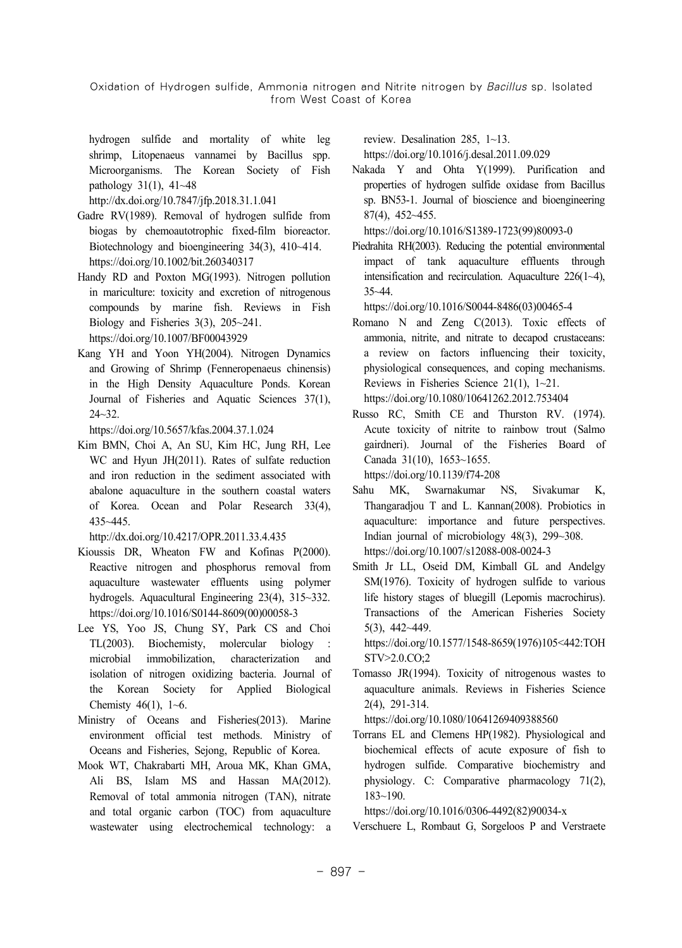Oxidation of Hydrogen sulfide, Ammonia nitrogen and Nitrite nitrogen by Bacillus sp. Isolated from West Coast of Korea

hydrogen sulfide and mortality of white leg shrimp, Litopenaeus vannamei by Bacillus spp. Microorganisms. The Korean Society of Fish pathology 31(1), 41~48

http://dx.doi.org/10.7847/jfp.2018.31.1.041

- Gadre RV(1989). Removal of hydrogen sulfide from biogas by chemoautotrophic fixed-film bioreactor. Biotechnology and bioengineering 34(3), 410~414. https://doi.org/10.1002/bit.260340317
- Handy RD and Poxton MG(1993). Nitrogen pollution in mariculture: toxicity and excretion of nitrogenous compounds by marine fish. Reviews in Fish Biology and Fisheries 3(3), 205~241. https://doi.org/10.1007/BF00043929
- Kang YH and Yoon YH(2004). Nitrogen Dynamics and Growing of Shrimp (Fenneropenaeus chinensis) in the High Density Aquaculture Ponds. Korean Journal of Fisheries and Aquatic Sciences 37(1),  $24 - 32.$

https://doi.org/10.5657/kfas.2004.37.1.024

Kim BMN, Choi A, An SU, Kim HC, Jung RH, Lee WC and Hyun JH(2011). Rates of sulfate reduction and iron reduction in the sediment associated with abalone aquaculture in the southern coastal waters of Korea. Ocean and Polar Research 33(4), 435~445.

http://dx.doi.org/10.4217/OPR.2011.33.4.435

- Kioussis DR, Wheaton FW and Kofinas P(2000). Reactive nitrogen and phosphorus removal from aquaculture wastewater effluents using polymer hydrogels. Aquacultural Engineering 23(4), 315~332. https://doi.org/10.1016/S0144-8609(00)00058-3
- Lee YS, Yoo JS, Chung SY, Park CS and Choi TL(2003). Biochemisty, molercular biology microbial immobilization, characterization and isolation of nitrogen oxidizing bacteria. Journal of the Korean Society for Applied Biological Chemisty  $46(1)$ ,  $1~6$ .
- Ministry of Oceans and Fisheries(2013). Marine environment official test methods. Ministry of Oceans and Fisheries, Sejong, Republic of Korea.
- Mook WT, Chakrabarti MH, Aroua MK, Khan GMA, Ali BS, Islam MS and Hassan MA(2012). Removal of total ammonia nitrogen (TAN), nitrate and total organic carbon (TOC) from aquaculture wastewater using electrochemical technology: a

review. Desalination 285, 1~13.

https://doi.org/10.1016/j.desal.2011.09.029

Nakada Y and Ohta Y(1999). Purification and properties of hydrogen sulfide oxidase from Bacillus sp. BN53-1. Journal of bioscience and bioengineering 87(4), 452~455.

https://doi.org/10.1016/S1389-1723(99)80093-0

Piedrahita RH(2003). Reducing the potential environmental impact of tank aquaculture effluents through intensification and recirculation. Aquaculture 226(1~4), 35~44.

https://doi.org/10.1016/S0044-8486(03)00465-4

- Romano N and Zeng C(2013). Toxic effects of ammonia, nitrite, and nitrate to decapod crustaceans: a review on factors influencing their toxicity, physiological consequences, and coping mechanisms. Reviews in Fisheries Science 21(1), 1~21. https://doi.org/10.1080/10641262.2012.753404
- Russo RC, Smith CE and Thurston RV. (1974). Acute toxicity of nitrite to rainbow trout (Salmo gairdneri). Journal of the Fisheries Board of Canada 31(10), 1653~1655.

https://doi.org/10.1139/f74-208

- Sahu MK, Swarnakumar NS, Sivakumar K, Thangaradjou T and L. Kannan(2008). Probiotics in aquaculture: importance and future perspectives. Indian journal of microbiology 48(3), 299~308. https://doi.org/10.1007/s12088-008-0024-3
- Smith Jr LL, Oseid DM, Kimball GL and Andelgy SM(1976). Toxicity of hydrogen sulfide to various life history stages of bluegill (Lepomis macrochirus). Transactions of the American Fisheries Society 5(3), 442~449.

https://doi.org/10.1577/1548-8659(1976)105<442:TOH STV>2.0.CO;2

Tomasso JR(1994). Toxicity of nitrogenous wastes to aquaculture animals. Reviews in Fisheries Science 2(4), 291-314.

https://doi.org/10.1080/10641269409388560

Torrans EL and Clemens HP(1982). Physiological and biochemical effects of acute exposure of fish to hydrogen sulfide. Comparative biochemistry and physiology. C: Comparative pharmacology 71(2), 183~190.

https://doi.org/10.1016/0306-4492(82)90034-x

Verschuere L, Rombaut G, Sorgeloos P and Verstraete